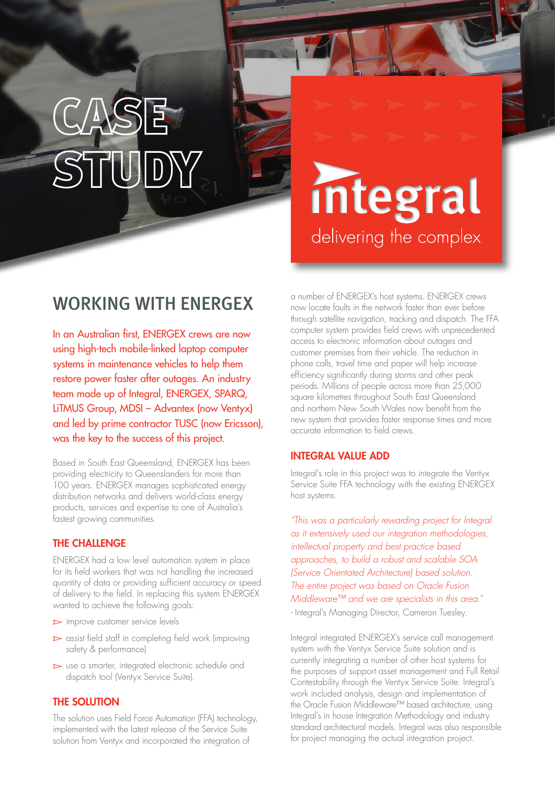# integral delivering the complex

## WORKING WITH ENERGEX

In an Australian first, ENERGEX crews are now using high-tech mobile-linked laptop computer systems in maintenance vehicles to help them restore power faster after outages. An industry team made up of Integral, ENERGEX, SPARQ, LiTMUS Group, MDSI – Advantex (now Ventyx) and led by prime contractor TUSC (now Ericsson), was the key to the success of this project.

Based in South East Queensland, ENERGEX has been providing electricity to Queenslanders for more than 100 years. ENERGEX manages sophisticated energy distribution networks and delivers world-class energy products, services and expertise to one of Australia's fastest growing communities.

### THE CHALLENGE

ENERGEX had a low level automation system in place for its field workers that was not handling the increased quantity of data or providing sufficient accuracy or speed of delivery to the field. In replacing this system ENERGEX wanted to achieve the following goals:

- $\triangleright$  improve customer service levels
- $\triangleright$  assist field staff in completing field work (improving safety & performance)
- $\triangleright$  use a smarter, integrated electronic schedule and dispatch tool (Ventyx Service Suite).

### THE SOLUTION

The solution uses Field Force Automation (FFA) technology, implemented with the latest release of the Service Suite solution from Ventyx and incorporated the integration of

a number of ENERGEX's host systems. ENERGEX crews now locate faults in the network faster than ever before through satellite navigation, tracking and dispatch. The FFA computer system provides field crews with unprecedented access to electronic information about outages and customer premises from their vehicle. The reduction in phone calls, travel time and paper will help increase efficiency significantly during storms and other peak periods. Millions of people across more than 25,000 square kilometres throughout South East Queensland and northern New South Wales now benefit from the new system that provides faster response times and more accurate information to field crews.

#### INTEGRAL VALUE ADD

Integral's role in this project was to integrate the Ventyx Service Suite FFA technology with the existing ENERGEX host systems.

*"This was a particularly rewarding project for Integral as it extensively used our integration methodologies, intellectual property and best practice based approaches, to build a robust and scalable SOA (Service Orientated Architecture) based solution. The entire project was based on Oracle Fusion Middleware™ and we are specialists in this area."*

*-* Integral's Managing Director, Cameron Tuesley.

Integral integrated ENERGEX's service call management system with the Ventyx Service Suite solution and is currently integrating a number of other host systems for the purposes of support asset management and Full Retail Contestability through the Ventyx Service Suite. Integral's work included analysis, design and implementation of the Oracle Fusion Middleware™ based architecture, using Integral's in house Integration Methodology and industry standard architectural models. Integral was also responsible for project managing the actual integration project.